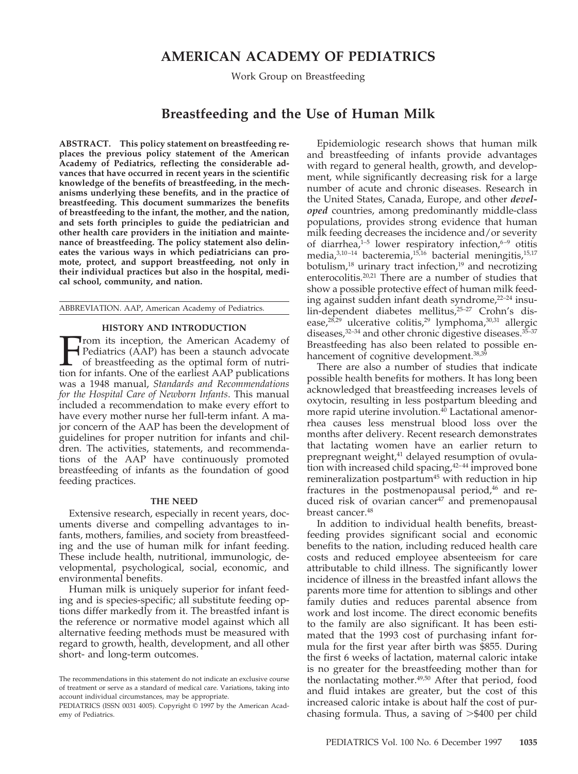# **AMERICAN ACADEMY OF PEDIATRICS**

Work Group on Breastfeeding

# **Breastfeeding and the Use of Human Milk**

**ABSTRACT. This policy statement on breastfeeding replaces the previous policy statement of the American Academy of Pediatrics, reflecting the considerable advances that have occurred in recent years in the scientific knowledge of the benefits of breastfeeding, in the mechanisms underlying these benefits, and in the practice of breastfeeding. This document summarizes the benefits of breastfeeding to the infant, the mother, and the nation, and sets forth principles to guide the pediatrician and other health care providers in the initiation and maintenance of breastfeeding. The policy statement also delineates the various ways in which pediatricians can promote, protect, and support breastfeeding, not only in their individual practices but also in the hospital, medical school, community, and nation.**

ABBREVIATION. AAP, American Academy of Pediatrics.

#### **HISTORY AND INTRODUCTION**

**From its inception, the American Academy of Pediatrics (AAP) has been a staunch advocate of breastfeeding as the optimal form of nutrition for infants. One of the earliest AAP publications** Pediatrics (AAP) has been a staunch advocate of breastfeeding as the optimal form of nutriwas a 1948 manual, *Standards and Recommendations for the Hospital Care of Newborn Infants*. This manual included a recommendation to make every effort to have every mother nurse her full-term infant. A major concern of the AAP has been the development of guidelines for proper nutrition for infants and children. The activities, statements, and recommendations of the AAP have continuously promoted breastfeeding of infants as the foundation of good feeding practices.

#### **THE NEED**

Extensive research, especially in recent years, documents diverse and compelling advantages to infants, mothers, families, and society from breastfeeding and the use of human milk for infant feeding. These include health, nutritional, immunologic, developmental, psychological, social, economic, and environmental benefits.

Human milk is uniquely superior for infant feeding and is species-specific; all substitute feeding options differ markedly from it. The breastfed infant is the reference or normative model against which all alternative feeding methods must be measured with regard to growth, health, development, and all other short- and long-term outcomes.

Epidemiologic research shows that human milk and breastfeeding of infants provide advantages with regard to general health, growth, and development, while significantly decreasing risk for a large number of acute and chronic diseases. Research in the United States, Canada, Europe, and other *developed* countries, among predominantly middle-class populations, provides strong evidence that human milk feeding decreases the incidence and/or severity of diarrhea, $1-5$  lower respiratory infection, $6-9$  otitis media, $3,10-14$  bacteremia, $15,16$  bacterial meningitis, $15,17$ botulism, $18$  urinary tract infection, $19$  and necrotizing enterocolitis.20,21 There are a number of studies that show a possible protective effect of human milk feeding against sudden infant death syndrome,<sup>22-24</sup> insulin-dependent diabetes mellitus,<sup>25-27</sup> Crohn's disease,<sup>28,29</sup> ulcerative colitis,<sup>29</sup> lymphoma,<sup>30,31</sup> allergic diseases, $32-34$  and other chronic digestive diseases. $35-37$ Breastfeeding has also been related to possible enhancement of cognitive development.<sup>38,39</sup>

There are also a number of studies that indicate possible health benefits for mothers. It has long been acknowledged that breastfeeding increases levels of oxytocin, resulting in less postpartum bleeding and more rapid uterine involution.<sup>40</sup> Lactational amenorrhea causes less menstrual blood loss over the months after delivery. Recent research demonstrates that lactating women have an earlier return to prepregnant weight,<sup>41</sup> delayed resumption of ovulation with increased child spacing,<sup>42-44</sup> improved bone remineralization postpartum<sup>45</sup> with reduction in hip fractures in the postmenopausal period, $46$  and reduced risk of ovarian cancer $47$  and premenopausal breast cancer.<sup>48</sup>

In addition to individual health benefits, breastfeeding provides significant social and economic benefits to the nation, including reduced health care costs and reduced employee absenteeism for care attributable to child illness. The significantly lower incidence of illness in the breastfed infant allows the parents more time for attention to siblings and other family duties and reduces parental absence from work and lost income. The direct economic benefits to the family are also significant. It has been estimated that the 1993 cost of purchasing infant formula for the first year after birth was \$855. During the first 6 weeks of lactation, maternal caloric intake is no greater for the breastfeeding mother than for the nonlactating mother.<sup>49,50</sup> After that period, food and fluid intakes are greater, but the cost of this increased caloric intake is about half the cost of purchasing formula. Thus, a saving of  $> $400$  per child

The recommendations in this statement do not indicate an exclusive course of treatment or serve as a standard of medical care. Variations, taking into account individual circumstances, may be appropriate.

PEDIATRICS (ISSN 0031 4005). Copyright © 1997 by the American Academy of Pediatrics.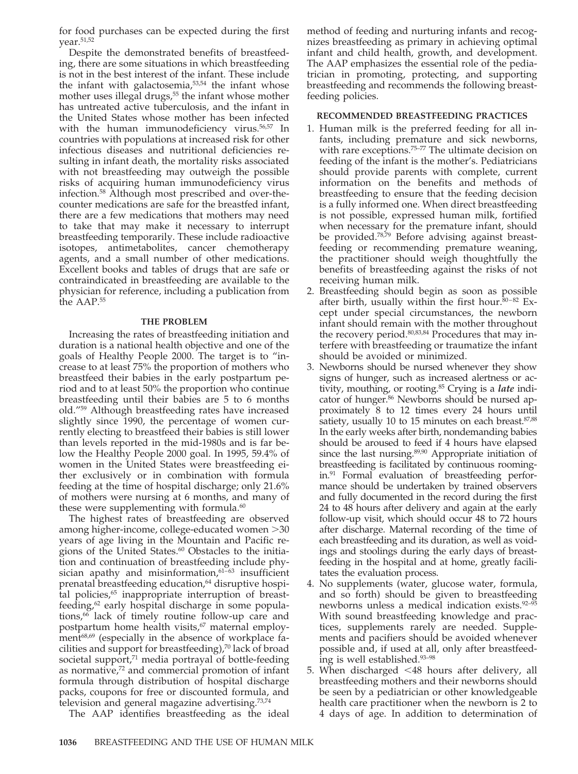for food purchases can be expected during the first year.51,52

Despite the demonstrated benefits of breastfeeding, there are some situations in which breastfeeding is not in the best interest of the infant. These include the infant with galactosemia, $53,54$  the infant whose mother uses illegal drugs,<sup>55</sup> the infant whose mother has untreated active tuberculosis, and the infant in the United States whose mother has been infected with the human immunodeficiency virus.<sup>56,57</sup> In countries with populations at increased risk for other infectious diseases and nutritional deficiencies resulting in infant death, the mortality risks associated with not breastfeeding may outweigh the possible risks of acquiring human immunodeficiency virus infection.58 Although most prescribed and over-thecounter medications are safe for the breastfed infant, there are a few medications that mothers may need to take that may make it necessary to interrupt breastfeeding temporarily. These include radioactive isotopes, antimetabolites, cancer chemotherapy agents, and a small number of other medications. Excellent books and tables of drugs that are safe or contraindicated in breastfeeding are available to the physician for reference, including a publication from the AAP.55

#### **THE PROBLEM**

Increasing the rates of breastfeeding initiation and duration is a national health objective and one of the goals of Healthy People 2000. The target is to "increase to at least 75% the proportion of mothers who breastfeed their babies in the early postpartum period and to at least 50% the proportion who continue breastfeeding until their babies are 5 to 6 months old."59 Although breastfeeding rates have increased slightly since 1990, the percentage of women currently electing to breastfeed their babies is still lower than levels reported in the mid-1980s and is far below the Healthy People 2000 goal. In 1995, 59.4% of women in the United States were breastfeeding either exclusively or in combination with formula feeding at the time of hospital discharge; only 21.6% of mothers were nursing at 6 months, and many of these were supplementing with formula. $60$ 

The highest rates of breastfeeding are observed among higher-income, college-educated women  $>30$ years of age living in the Mountain and Pacific regions of the United States.<sup>60</sup> Obstacles to the initiation and continuation of breastfeeding include physician apathy and misinformation, $61-63$  insufficient prenatal breastfeeding education,<sup>64</sup> disruptive hospital policies,<sup>65</sup> inappropriate interruption of breast $f$ eeding,<sup>62</sup> early hospital discharge in some populations,<sup>66</sup> lack of timely routine follow-up care and postpartum home health visits,<sup>67</sup> maternal employment<sup>68,69</sup> (especially in the absence of workplace facilities and support for breastfeeding), $70$  lack of broad societal support,<sup>71</sup> media portrayal of bottle-feeding as normative,<sup>72</sup> and commercial promotion of infant formula through distribution of hospital discharge packs, coupons for free or discounted formula, and television and general magazine advertising.73,74

The AAP identifies breastfeeding as the ideal

method of feeding and nurturing infants and recognizes breastfeeding as primary in achieving optimal infant and child health, growth, and development. The AAP emphasizes the essential role of the pediatrician in promoting, protecting, and supporting breastfeeding and recommends the following breastfeeding policies.

### **RECOMMENDED BREASTFEEDING PRACTICES**

- 1. Human milk is the preferred feeding for all infants, including premature and sick newborns, with rare exceptions.<sup>75-77</sup> The ultimate decision on feeding of the infant is the mother's. Pediatricians should provide parents with complete, current information on the benefits and methods of breastfeeding to ensure that the feeding decision is a fully informed one. When direct breastfeeding is not possible, expressed human milk, fortified when necessary for the premature infant, should be provided.<sup>78,79</sup> Before advising against breastfeeding or recommending premature weaning, the practitioner should weigh thoughtfully the benefits of breastfeeding against the risks of not receiving human milk.
- 2. Breastfeeding should begin as soon as possible after birth, usually within the first hour. ${}^{80-82}$  Except under special circumstances, the newborn infant should remain with the mother throughout the recovery period.<sup>80,83,84</sup> Procedures that may interfere with breastfeeding or traumatize the infant should be avoided or minimized.
- 3. Newborns should be nursed whenever they show signs of hunger, such as increased alertness or activity, mouthing, or rooting.85 Crying is a *late* indicator of hunger.<sup>86</sup> Newborns should be nursed approximately 8 to 12 times every 24 hours until satiety, usually 10 to 15 minutes on each breast.<sup>87,88</sup> In the early weeks after birth, nondemanding babies should be aroused to feed if 4 hours have elapsed since the last nursing.<sup>89,90</sup> Appropriate initiation of breastfeeding is facilitated by continuous roomingin.91 Formal evaluation of breastfeeding performance should be undertaken by trained observers and fully documented in the record during the first 24 to 48 hours after delivery and again at the early follow-up visit, which should occur 48 to 72 hours after discharge. Maternal recording of the time of each breastfeeding and its duration, as well as voidings and stoolings during the early days of breastfeeding in the hospital and at home, greatly facilitates the evaluation process.
- 4. No supplements (water, glucose water, formula, and so forth) should be given to breastfeeding newborns unless a medical indication exists.92–95 With sound breastfeeding knowledge and practices, supplements rarely are needed. Supplements and pacifiers should be avoided whenever possible and, if used at all, only after breastfeeding is well established.93–98
- 5. When discharged  $\leq$  48 hours after delivery, all breastfeeding mothers and their newborns should be seen by a pediatrician or other knowledgeable health care practitioner when the newborn is 2 to 4 days of age. In addition to determination of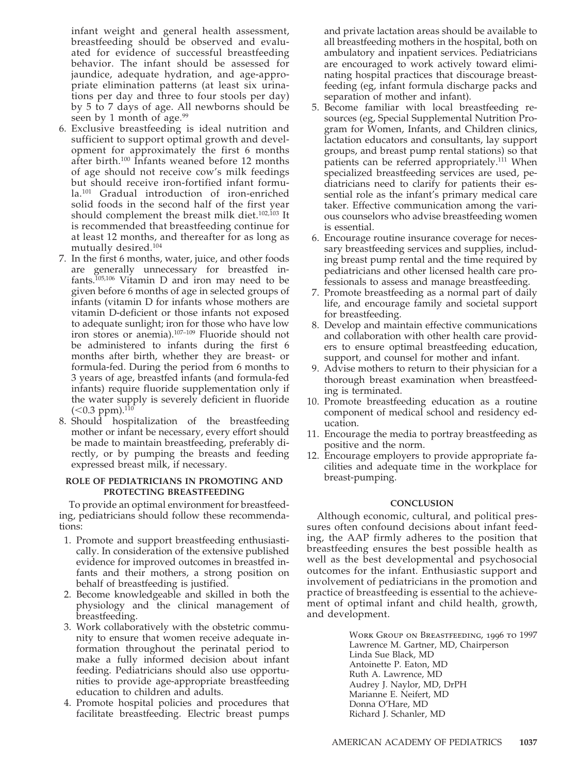infant weight and general health assessment, breastfeeding should be observed and evaluated for evidence of successful breastfeeding behavior. The infant should be assessed for jaundice, adequate hydration, and age-appropriate elimination patterns (at least six urinations per day and three to four stools per day) by 5 to 7 days of age. All newborns should be seen by 1 month of age.<sup>99</sup>

- 6. Exclusive breastfeeding is ideal nutrition and sufficient to support optimal growth and development for approximately the first 6 months after birth.<sup>100</sup> Infants weaned before 12 months of age should not receive cow's milk feedings but should receive iron-fortified infant formula.101 Gradual introduction of iron-enriched solid foods in the second half of the first year should complement the breast milk diet.<sup>102,103</sup> It is recommended that breastfeeding continue for at least 12 months, and thereafter for as long as mutually desired.104
- 7. In the first 6 months, water, juice, and other foods are generally unnecessary for breastfed infants. $105,106$  Vitamin D and iron may need to be given before 6 months of age in selected groups of infants (vitamin D for infants whose mothers are vitamin D-deficient or those infants not exposed to adequate sunlight; iron for those who have low iron stores or anemia).107–109 Fluoride should not be administered to infants during the first 6 months after birth, whether they are breast- or formula-fed. During the period from 6 months to 3 years of age, breastfed infants (and formula-fed infants) require fluoride supplementation only if the water supply is severely deficient in fluoride  $(< 0.3$  ppm).<sup>110</sup>
- 8. Should hospitalization of the breastfeeding mother or infant be necessary, every effort should be made to maintain breastfeeding, preferably directly, or by pumping the breasts and feeding expressed breast milk, if necessary.

#### **ROLE OF PEDIATRICIANS IN PROMOTING AND PROTECTING BREASTFEEDING**

To provide an optimal environment for breastfeeding, pediatricians should follow these recommendations:

- 1. Promote and support breastfeeding enthusiastically. In consideration of the extensive published evidence for improved outcomes in breastfed infants and their mothers, a strong position on behalf of breastfeeding is justified.
- 2. Become knowledgeable and skilled in both the physiology and the clinical management of breastfeeding.
- 3. Work collaboratively with the obstetric community to ensure that women receive adequate information throughout the perinatal period to make a fully informed decision about infant feeding. Pediatricians should also use opportunities to provide age-appropriate breastfeeding education to children and adults.
- 4. Promote hospital policies and procedures that facilitate breastfeeding. Electric breast pumps

and private lactation areas should be available to all breastfeeding mothers in the hospital, both on ambulatory and inpatient services. Pediatricians are encouraged to work actively toward eliminating hospital practices that discourage breastfeeding (eg, infant formula discharge packs and separation of mother and infant).

- 5. Become familiar with local breastfeeding resources (eg, Special Supplemental Nutrition Program for Women, Infants, and Children clinics, lactation educators and consultants, lay support groups, and breast pump rental stations) so that patients can be referred appropriately.<sup>111</sup> When specialized breastfeeding services are used, pediatricians need to clarify for patients their essential role as the infant's primary medical care taker. Effective communication among the various counselors who advise breastfeeding women is essential.
- 6. Encourage routine insurance coverage for necessary breastfeeding services and supplies, including breast pump rental and the time required by pediatricians and other licensed health care professionals to assess and manage breastfeeding.
- 7. Promote breastfeeding as a normal part of daily life, and encourage family and societal support for breastfeeding.
- 8. Develop and maintain effective communications and collaboration with other health care providers to ensure optimal breastfeeding education, support, and counsel for mother and infant.
- 9. Advise mothers to return to their physician for a thorough breast examination when breastfeeding is terminated.
- 10. Promote breastfeeding education as a routine component of medical school and residency education.
- 11. Encourage the media to portray breastfeeding as positive and the norm.
- 12. Encourage employers to provide appropriate facilities and adequate time in the workplace for breast-pumping.

### **CONCLUSION**

Although economic, cultural, and political pressures often confound decisions about infant feeding, the AAP firmly adheres to the position that breastfeeding ensures the best possible health as well as the best developmental and psychosocial outcomes for the infant. Enthusiastic support and involvement of pediatricians in the promotion and practice of breastfeeding is essential to the achievement of optimal infant and child health, growth, and development.

> Work Group on Breastfeeding, 1996 to 1997 Lawrence M. Gartner, MD, Chairperson Linda Sue Black, MD Antoinette P. Eaton, MD Ruth A. Lawrence, MD Audrey J. Naylor, MD, DrPH Marianne E. Neifert, MD Donna O'Hare, MD Richard J. Schanler, MD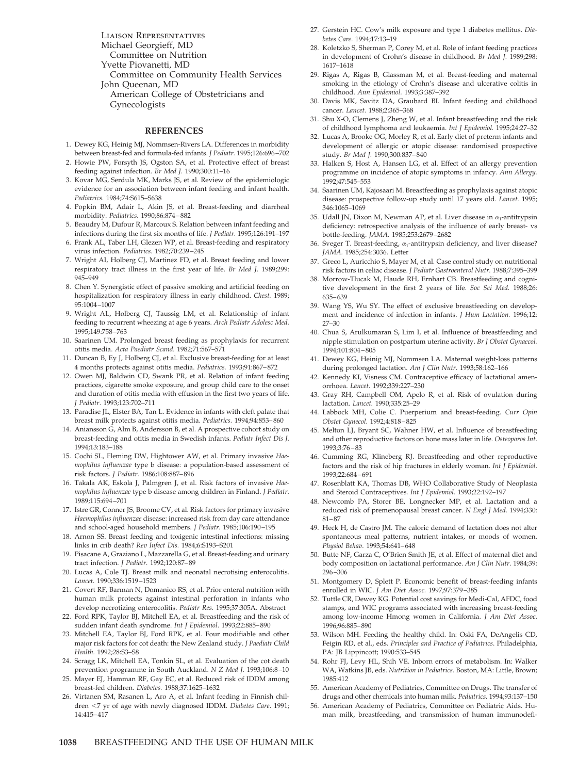Liaison Representatives Michael Georgieff, MD Committee on Nutrition Yvette Piovanetti, MD Committee on Community Health Services John Queenan, MD American College of Obstetricians and Gynecologists

#### **REFERENCES**

- 1. Dewey KG, Heinig MJ, Nommsen-Rivers LA. Differences in morbidity between breast-fed and formula-fed infants. *J Pediatr.* 1995;126:696–702
- 2. Howie PW, Forsyth JS, Ogston SA, et al. Protective effect of breast feeding against infection. *Br Med J.* 1990;300:11–16
- 3. Kovar MG, Serdula MK, Marks JS, et al. Review of the epidemiologic evidence for an association between infant feeding and infant health. *Pediatrics.* 1984;74:S615–S638
- 4. Popkin BM, Adair L, Akin JS, et al. Breast-feeding and diarrheal morbidity. *Pediatrics*. 1990;86:874–882
- 5. Beaudry M, Dufour R, Marcoux S. Relation between infant feeding and infections during the first six months of life. *J Pediatr.* 1995;126:191–197
- 6. Frank AL, Taber LH, Glezen WP, et al. Breast-feeding and respiratory virus infection. *Pediatrics.* 1982;70:239–245
- 7. Wright AI, Holberg CJ, Martinez FD, et al. Breast feeding and lower respiratory tract illness in the first year of life. *Br Med J.* 1989;299: 945–949
- 8. Chen Y. Synergistic effect of passive smoking and artificial feeding on hospitalization for respiratory illness in early childhood. *Chest.* 1989; 95:1004–1007
- 9. Wright AL, Holberg CJ, Taussig LM, et al. Relationship of infant feeding to recurrent wheezing at age 6 years. *Arch Pediatr Adolesc Med.* 1995;149:758–763
- 10. Saarinen UM. Prolonged breast feeding as prophylaxis for recurrent otitis media. *Acta Paediatr Scand.* 1982;71:567–571
- 11. Duncan B, Ey J, Holberg CJ, et al. Exclusive breast-feeding for at least 4 months protects against otitis media. *Pediatrics.* 1993;91:867–872
- 12. Owen MJ, Baldwin CD, Swank PR, et al. Relation of infant feeding practices, cigarette smoke exposure, and group child care to the onset and duration of otitis media with effusion in the first two years of life. *J Pediatr*. 1993;123:702–711
- 13. Paradise JL, Elster BA, Tan L. Evidence in infants with cleft palate that breast milk protects against otitis media. *Pediatrics.* 1994;94:853–860
- 14. Aniansson G, Alm B, Andersson B, et al. A prospective cohort study on breast-feeding and otitis media in Swedish infants. *Pediatr Infect Dis J.* 1994;13:183–188
- 15. Cochi SL, Fleming DW, Hightower AW, et al. Primary invasive *Haemophilus influenzae* type b disease: a population-based assessment of risk factors. *J Pediatr.* 1986;108:887–896
- 16. Takala AK, Eskola J, Palmgren J, et al. Risk factors of invasive *Haemophilus influenzae* type b disease among children in Finland. *J Pediatr.* 1989;115:694–701
- 17. Istre GR, Conner JS, Broome CV, et al. Risk factors for primary invasive *Haemophilus influenzae* disease: increased risk from day care attendance and school-aged household members. *J Pediatr.* 1985;106:190–195
- 18. Arnon SS. Breast feeding and toxigenic intestinal infections: missing links in crib death? *Rev Infect Dis.* 1984;6:S193–S201
- 19. Pisacane A, Graziano L, Mazzarella G, et al. Breast-feeding and urinary tract infection. *J Pediatr.* 1992;120:87–89
- 20. Lucas A, Cole TJ. Breast milk and neonatal necrotising enterocolitis. *Lancet.* 1990;336:1519–1523
- 21. Covert RF, Barman N, Domanico RS, et al. Prior enteral nutrition with human milk protects against intestinal perforation in infants who develop necrotizing enterocolitis. *Pediatr Res.* 1995;37:305A. Abstract
- 22. Ford RPK, Taylor BJ, Mitchell EA, et al. Breastfeeding and the risk of sudden infant death syndrome. *Int J Epidemiol*. 1993;22:885–890
- 23. Mitchell EA, Taylor BJ, Ford RPK, et al. Four modifiable and other major risk factors for cot death: the New Zealand study. *J Paediatr Child Health.* 1992;28:S3–S8
- 24. Scragg LK, Mitchell EA, Tonkin SL, et al. Evaluation of the cot death prevention programme in South Auckland. *N Z Med J.* 1993;106:8–10
- 25. Mayer EJ, Hamman RF, Gay EC, et al. Reduced risk of IDDM among breast-fed children. *Diabetes.* 1988;37:1625–1632
- 26. Virtanen SM, Rasanen L, Aro A, et al. Infant feeding in Finnish children ,7 yr of age with newly diagnosed IDDM. *Diabetes Care*. 1991; 14:415–417
- 27. Gerstein HC. Cow's milk exposure and type 1 diabetes mellitus. *Diabetes Care.* 1994;17:13–19
- 28. Koletzko S, Sherman P, Corey M, et al. Role of infant feeding practices in development of Crohn's disease in childhood. *Br Med J.* 1989;298: 1617–1618
- 29. Rigas A, Rigas B, Glassman M, et al. Breast-feeding and maternal smoking in the etiology of Crohn's disease and ulcerative colitis in childhood. *Ann Epidemiol.* 1993;3:387–392
- 30. Davis MK, Savitz DA, Graubard BI. Infant feeding and childhood cancer. *Lancet.* 1988;2:365–368
- 31. Shu X-O, Clemens J, Zheng W, et al. Infant breastfeeding and the risk of childhood lymphoma and leukaemia. *Int J Epidemiol.* 1995;24:27–32
- 32. Lucas A, Brooke OG, Morley R, et al. Early diet of preterm infants and development of allergic or atopic disease: randomised prospective study. *Br Med J.* 1990;300:837–840
- 33. Halken S, Host A, Hansen LG, et al. Effect of an allergy prevention programme on incidence of atopic symptoms in infancy. *Ann Allergy.* 1992;47:545–553
- 34. Saarinen UM, Kajosaari M. Breastfeeding as prophylaxis against atopic disease: prospective follow-up study until 17 years old. *Lancet.* 1995; 346:1065–1069
- 35. Udall JN, Dixon M, Newman AP, et al. Liver disease in  $\alpha_1$ -antitrypsin deficiency: retrospective analysis of the influence of early breast- vs bottle-feeding. *JAMA.* 1985;253:2679–2682
- 36. Sveger T. Breast-feeding,  $\alpha_1$ -antitrypsin deficiency, and liver disease? *JAMA.* 1985;254:3036. Letter
- 37. Greco L, Auricchio S, Mayer M, et al. Case control study on nutritional risk factors in celiac disease. *J Pediatr Gastroenterol Nutr.* 1988;7:395–399
- 38. Morrow-Tlucak M, Haude RH, Ernhart CB. Breastfeeding and cognitive development in the first 2 years of life. *Soc Sci Med.* 1988;26: 635–639
- 39. Wang YS, Wu SY. The effect of exclusive breastfeeding on development and incidence of infection in infants. *J Hum Lactation.* 1996;12: 27–30
- 40. Chua S, Arulkumaran S, Lim I, et al. Influence of breastfeeding and nipple stimulation on postpartum uterine activity. *Br J Obstet Gynaecol.* 1994;101:804–805
- 41. Dewey KG, Heinig MJ, Nommsen LA. Maternal weight-loss patterns during prolonged lactation. *Am J Clin Nutr*. 1993;58:162–166
- 42. Kennedy KI, Visness CM. Contraceptive efficacy of lactational amenorrhoea. *Lancet.* 1992;339:227–230
- 43. Gray RH, Campbell OM, Apelo R, et al. Risk of ovulation during lactation. *Lancet.* 1990;335:25–29
- 44. Labbock MH, Colie C. Puerperium and breast-feeding. *Curr Opin Obstet Gynecol.* 1992;4:818–825
- 45. Melton LJ, Bryant SC, Wahner HW, et al. Influence of breastfeeding and other reproductive factors on bone mass later in life. *Osteoporos Int*. 1993;3:76–83
- 46. Cumming RG, Klineberg RJ. Breastfeeding and other reproductive factors and the risk of hip fractures in elderly woman. *Int J Epidemiol*. 1993;22:684–691
- 47. Rosenblatt KA, Thomas DB, WHO Collaborative Study of Neoplasia and Steroid Contraceptives. *Int J Epidemiol*. 1993;22:192–197
- 48. Newcomb PA, Storer BE, Longnecker MP, et al. Lactation and a reduced risk of premenopausal breast cancer. *N Engl J Med.* 1994;330: 81–87
- 49. Heck H, de Castro JM. The caloric demand of lactation does not alter spontaneous meal patterns, nutrient intakes, or moods of women. *Physiol Behav.* 1993;54:641–648
- 50. Butte NF, Garza C, O'Brien Smith JE, et al. Effect of maternal diet and body composition on lactational performance. *Am J Clin Nutr*. 1984;39: 296–306
- 51. Montgomery D, Splett P. Economic benefit of breast-feeding infants enrolled in WIC. *J Am Diet Assoc.* 1997;97:379–385
- 52. Tuttle CR, Dewey KG. Potential cost savings for Medi-Cal, AFDC, food stamps, and WIC programs associated with increasing breast-feeding among low-income Hmong women in California. *J Am Diet Assoc*. 1996;96:885–890
- 53. Wilson MH. Feeding the healthy child. In: Oski FA, DeAngelis CD, Feigin RD, et al., eds. *Principles and Practice of Pediatrics*. Philadelphia, PA: JB Lippincott; 1990:533–545
- 54. Rohr FJ, Levy HL, Shih VE. Inborn errors of metabolism. In: Walker WA, Watkins JB, eds. *Nutrition in Pediatrics*. Boston, MA: Little, Brown; 1985:412
- 55. American Academy of Pediatrics, Committee on Drugs. The transfer of drugs and other chemicals into human milk. *Pediatrics*. 1994;93:137–150
- 56. American Academy of Pediatrics, Committee on Pediatric Aids. Human milk, breastfeeding, and transmission of human immunodefi-